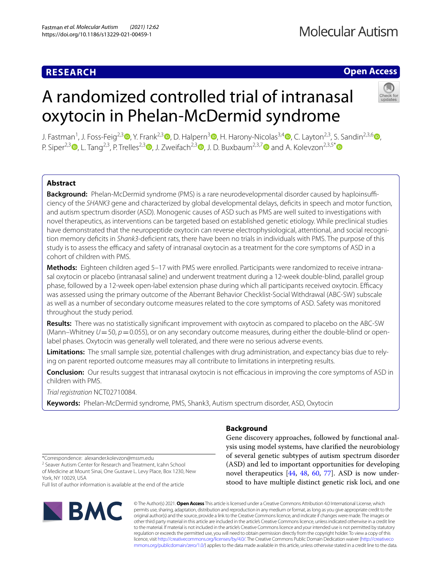# **RESEARCH**

# **Open Access**

# A randomized controlled trial of intranasal oxytocin in Phelan-McDermid syndrome



J. Fastman<sup>1</sup>[,](http://orcid.org/0000-0001-8283-9093) J. Foss-Feig<sup>2,[3](http://orcid.org/0000-0001-6745-1197)</sup> (D[,](http://orcid.org/0000-0001-6994-4884) Y. Frank<sup>2,3</sup> (D, D. Halpern<sup>3</sup> (D, H. Harony-Nicolas<sup>3,4</sup> (D, C. Layton<sup>2,3</sup>, S. Sandin<sup>2,3,6</sup> (D, P. Siper<sup>2,3</sup>  $\bullet$ [,](http://orcid.org/0000-0001-5392-8839) L. Tang<sup>2,3</sup>, P. Trelles<sup>2,3</sup>  $\bullet$ , J. Zweifach<sup>2,3</sup>  $\bullet$ , J. D. Buxbaum<sup>2,3,[7](http://orcid.org/0000-0001-8898-8313)</sup>  $\bullet$  and A. Kolevzon<sup>2,3,5[\\*](http://orcid.org/0000-0001-8129-2671)</sup>  $\bullet$ 

# **Abstract**

Background: Phelan-McDermid syndrome (PMS) is a rare neurodevelopmental disorder caused by haploinsufficiency of the *SHANK3* gene and characterized by global developmental delays, defcits in speech and motor function, and autism spectrum disorder (ASD). Monogenic causes of ASD such as PMS are well suited to investigations with novel therapeutics, as interventions can be targeted based on established genetic etiology. While preclinical studies have demonstrated that the neuropeptide oxytocin can reverse electrophysiological, attentional, and social recognition memory defcits in *Shank3*-defcient rats, there have been no trials in individuals with PMS. The purpose of this study is to assess the efficacy and safety of intranasal oxytocin as a treatment for the core symptoms of ASD in a cohort of children with PMS.

**Methods:** Eighteen children aged 5–17 with PMS were enrolled. Participants were randomized to receive intranasal oxytocin or placebo (intranasal saline) and underwent treatment during a 12-week double-blind, parallel group phase, followed by a 12-week open-label extension phase during which all participants received oxytocin. Efficacy was assessed using the primary outcome of the Aberrant Behavior Checklist-Social Withdrawal (ABC-SW) subscale as well as a number of secondary outcome measures related to the core symptoms of ASD. Safety was monitored throughout the study period.

**Results:** There was no statistically signifcant improvement with oxytocin as compared to placebo on the ABC-SW (Mann–Whitney  $U=50$ ,  $p=0.055$ ), or on any secondary outcome measures, during either the double-blind or openlabel phases. Oxytocin was generally well tolerated, and there were no serious adverse events.

**Limitations:** The small sample size, potential challenges with drug administration, and expectancy bias due to rely‑ ing on parent reported outcome measures may all contribute to limitations in interpreting results.

**Conclusion:** Our results suggest that intranasal oxytocin is not efficacious in improving the core symptoms of ASD in children with PMS.

*Trial registration* NCT02710084.

**Keywords:** Phelan-McDermid syndrome, PMS, Shank3, Autism spectrum disorder, ASD, Oxytocin

# **Background**

Gene discovery approaches, followed by functional analysis using model systems, have clarifed the neurobiology of several genetic subtypes of autism spectrum disorder (ASD) and led to important opportunities for developing novel therapeutics [[44](#page-8-0), [48](#page-8-1), [60](#page-8-2), [77](#page-9-0)]. ASD is now understood to have multiple distinct genetic risk loci, and one

\*Correspondence: alexander.kolevzon@mssm.edu

<sup>2</sup> Seaver Autism Center for Research and Treatment, Icahn School of Medicine at Mount Sinai, One Gustave L. Levy Place, Box 1230, New York, NY 10029, USA

Full list of author information is available at the end of the article



© The Author(s) 2021. **Open Access** This article is licensed under a Creative Commons Attribution 4.0 International License, which permits use, sharing, adaptation, distribution and reproduction in any medium or format, as long as you give appropriate credit to the original author(s) and the source, provide a link to the Creative Commons licence, and indicate if changes were made. The images or other third party material in this article are included in the article's Creative Commons licence, unless indicated otherwise in a credit line to the material. If material is not included in the article's Creative Commons licence and your intended use is not permitted by statutory regulation or exceeds the permitted use, you will need to obtain permission directly from the copyright holder. To view a copy of this licence, visit [http://creativecommons.org/licenses/by/4.0/.](http://creativecommons.org/licenses/by/4.0/) The Creative Commons Public Domain Dedication waiver ([http://creativeco](http://creativecommons.org/publicdomain/zero/1.0/) [mmons.org/publicdomain/zero/1.0/](http://creativecommons.org/publicdomain/zero/1.0/)) applies to the data made available in this article, unless otherwise stated in a credit line to the data.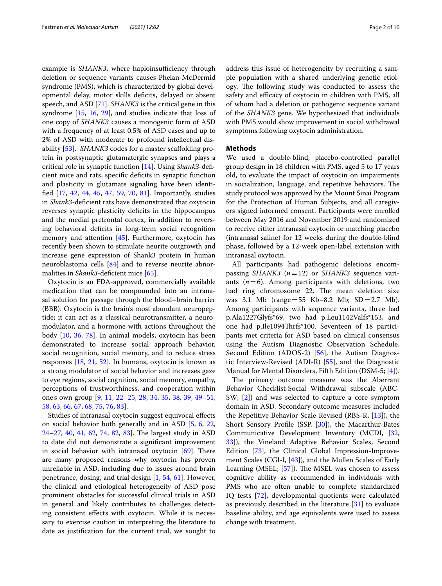example is *SHANK3*, where haploinsufficiency through deletion or sequence variants causes Phelan-McDermid syndrome (PMS), which is characterized by global developmental delay, motor skills defcits, delayed or absent speech, and ASD [[71](#page-8-3)]. *SHANK3* is the critical gene in this syndrome [\[15](#page-7-0), [16](#page-7-1), [29](#page-7-2)], and studies indicate that loss of one copy of *SHANK3* causes a monogenic form of ASD with a frequency of at least 0.5% of ASD cases and up to 2% of ASD with moderate to profound intellectual dis-ability [[53](#page-8-4)]. *SHANK3* codes for a master scaffolding protein in postsynaptic glutamatergic synapses and plays a critical role in synaptic function [[14\]](#page-7-3). Using *Shank3*-defcient mice and rats, specifc defcits in synaptic function and plasticity in glutamate signaling have been identifed [[17,](#page-7-4) [42](#page-8-5), [44,](#page-8-0) [45,](#page-8-6) [47](#page-8-7), [59](#page-8-8), [70,](#page-8-9) [81](#page-9-1)]. Importantly, studies in *Shank3*-deficient rats have demonstrated that oxytocin reverses synaptic plasticity deficits in the hippocampus and the medial prefrontal cortex, in addition to reversing behavioral defcits in long-term social recognition memory and attention [\[45\]](#page-8-6). Furthermore, oxytocin has recently been shown to stimulate neurite outgrowth and increase gene expression of Shank3 protein in human neuroblastoma cells [\[84](#page-9-2)] and to reverse neurite abnormalities in *Shank3*-deficient mice [[65\]](#page-8-10).

Oxytocin is an FDA-approved, commercially available medication that can be compounded into an intranasal solution for passage through the blood–brain barrier (BBB). Oxytocin is the brain's most abundant neuropeptide; it can act as a classical neurotransmitter, a neuromodulator, and a hormone with actions throughout the body [[10,](#page-7-5) [36,](#page-8-11) [78](#page-9-3)]. In animal models, oxytocin has been demonstrated to increase social approach behavior, social recognition, social memory, and to reduce stress responses [\[18](#page-7-6), [21](#page-7-7), [52\]](#page-8-12). In humans, oxytocin is known as a strong modulator of social behavior and increases gaze to eye regions, social cognition, social memory, empathy, perceptions of trustworthiness, and cooperation within one's own group [\[9,](#page-7-8) [11](#page-7-9), [22](#page-7-10)[–25,](#page-7-11) [28](#page-7-12), [34](#page-8-13), [35](#page-8-14), [38](#page-8-15), [39](#page-8-16), [49](#page-8-17)[–51](#page-8-18), [58,](#page-8-19) [63,](#page-8-20) [66](#page-8-21), [67,](#page-8-22) [68](#page-8-23), [75](#page-9-4), [76,](#page-9-5) [83](#page-9-6)].

Studies of intranasal oxytocin suggest equivocal efects on social behavior both generally and in ASD [[5,](#page-7-13) [6,](#page-7-14) [22](#page-7-10), [24](#page-7-15)[–27](#page-7-16), [40,](#page-8-24) [41](#page-8-25), [62](#page-8-26), [74,](#page-8-27) [82](#page-9-7), [83\]](#page-9-6). The largest study in ASD to date did not demonstrate a signifcant improvement in social behavior with intranasal oxytocin  $[69]$  $[69]$ . There are many proposed reasons why oxytocin has proven unreliable in ASD, including due to issues around brain penetrance, dosing, and trial design [\[1](#page-7-17), [54](#page-8-29), [61\]](#page-8-30). However, the clinical and etiological heterogeneity of ASD pose prominent obstacles for successful clinical trials in ASD in general and likely contributes to challenges detecting consistent efects with oxytocin. While it is necessary to exercise caution in interpreting the literature to date as justifcation for the current trial, we sought to address this issue of heterogeneity by recruiting a sample population with a shared underlying genetic etiology. The following study was conducted to assess the safety and efficacy of oxytocin in children with PMS, all of whom had a deletion or pathogenic sequence variant of the *SHANK3* gene. We hypothesized that individuals with PMS would show improvement in social withdrawal symptoms following oxytocin administration.

## **Methods**

We used a double-blind, placebo-controlled parallel group design in 18 children with PMS, aged 5 to 17 years old, to evaluate the impact of oxytocin on impairments in socialization, language, and repetitive behaviors. The study protocol was approved by the Mount Sinai Program for the Protection of Human Subjects, and all caregivers signed informed consent. Participants were enrolled between May 2016 and November 2019 and randomized to receive either intranasal oxytocin or matching placebo (intranasal saline) for 12 weeks during the double-blind phase, followed by a 12-week open-label extension with intranasal oxytocin.

All participants had pathogenic deletions encompassing *SHANK3* (*n*=12) or *SHANK3* sequence variants  $(n=6)$ . Among participants with deletions, two had ring chromosome 22. The mean deletion size was 3.1 Mb (range=55  $Kb-8.2$  Mb;  $SD = 2.7$  Mb). Among participants with sequence variants, three had p.Ala1227Glyfs\*69, two had p.Leu1142Valfs\*153, and one had p.Ile1094Thrfs\*100. Seventeen of 18 participants met criteria for ASD based on clinical consensus using the Autism Diagnostic Observation Schedule, Second Edition (ADOS-2) [[56\]](#page-8-31), the Autism Diagnostic Interview-Revised (ADI-R) [[55\]](#page-8-32), and the Diagnostic Manual for Mental Disorders, Fifth Edition (DSM-5; [[4\]](#page-7-18)).

The primary outcome measure was the Aberrant Behavior Checklist-Social Withdrawal subscale (ABC-SW; [\[2](#page-7-19)]) and was selected to capture a core symptom domain in ASD. Secondary outcome measures included the Repetitive Behavior Scale-Revised (RBS-R, [[13\]](#page-7-20)), the Short Sensory Profle (SSP, [\[30](#page-7-21)]), the Macarthur-Bates Communicative Development Inventory (MCDI, [[32](#page-7-22), [33\]](#page-8-33)), the Vineland Adaptive Behavior Scales, Second Edition [\[73\]](#page-8-34), the Clinical Global Impression-Improvement Scales (CGI-I, [\[43\]](#page-8-35)), and the Mullen Scales of Early Learning (MSEL;  $[57]$  $[57]$ ). The MSEL was chosen to assess cognitive ability as recommended in individuals with PMS who are often unable to complete standardized IQ tests [\[72](#page-8-37)], developmental quotients were calculated as previously described in the literature [[31\]](#page-7-23) to evaluate baseline ability, and age equivalents were used to assess change with treatment.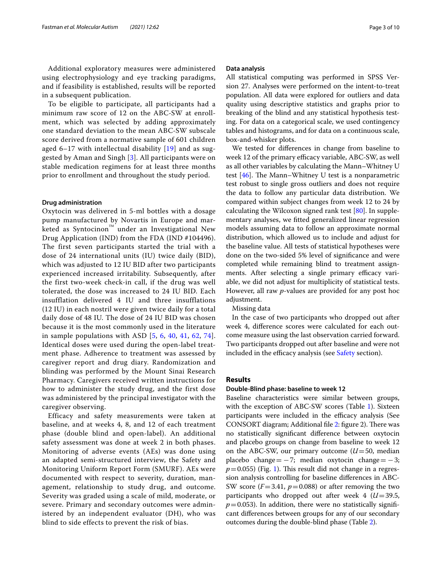Additional exploratory measures were administered using electrophysiology and eye tracking paradigms, and if feasibility is established, results will be reported in a subsequent publication.

To be eligible to participate, all participants had a minimum raw score of 12 on the ABC-SW at enrollment, which was selected by adding approximately one standard deviation to the mean ABC-SW subscale score derived from a normative sample of 601 children aged 6-17 with intellectual disability  $[19]$  $[19]$  $[19]$  and as suggested by Aman and Singh [[3](#page-7-25)]. All participants were on stable medication regimens for at least three months prior to enrollment and throughout the study period.

#### **Drug administration**

Oxytocin was delivered in 5-ml bottles with a dosage pump manufactured by Novartis in Europe and marketed as Syntocinon<sup>™</sup> under an Investigational New Drug Application (IND) from the FDA (IND #104496). The first seven participants started the trial with a dose of 24 international units (IU) twice daily (BID), which was adjusted to 12 IU BID after two participants experienced increased irritability. Subsequently, after the first two-week check-in call, if the drug was well tolerated, the dose was increased to 24 IU BID. Each insufflation delivered 4 IU and three insufflations (12 IU) in each nostril were given twice daily for a total daily dose of 48 IU. The dose of 24 IU BID was chosen because it is the most commonly used in the literature in sample populations with ASD  $[5, 6, 40, 41, 62, 74]$  $[5, 6, 40, 41, 62, 74]$  $[5, 6, 40, 41, 62, 74]$  $[5, 6, 40, 41, 62, 74]$  $[5, 6, 40, 41, 62, 74]$  $[5, 6, 40, 41, 62, 74]$  $[5, 6, 40, 41, 62, 74]$  $[5, 6, 40, 41, 62, 74]$  $[5, 6, 40, 41, 62, 74]$  $[5, 6, 40, 41, 62, 74]$  $[5, 6, 40, 41, 62, 74]$  $[5, 6, 40, 41, 62, 74]$ . Identical doses were used during the open-label treatment phase. Adherence to treatment was assessed by caregiver report and drug diary. Randomization and blinding was performed by the Mount Sinai Research Pharmacy. Caregivers received written instructions for how to administer the study drug, and the first dose was administered by the principal investigator with the caregiver observing.

Efficacy and safety measurements were taken at baseline, and at weeks 4, 8, and 12 of each treatment phase (double blind and open-label). An additional safety assessment was done at week 2 in both phases. Monitoring of adverse events (AEs) was done using an adapted semi-structured interview, the Safety and Monitoring Uniform Report Form (SMURF). AEs were documented with respect to severity, duration, management, relationship to study drug, and outcome. Severity was graded using a scale of mild, moderate, or severe. Primary and secondary outcomes were administered by an independent evaluator (DH), who was blind to side effects to prevent the risk of bias.

#### **Data analysis**

All statistical computing was performed in SPSS Version 27. Analyses were performed on the intent-to-treat population. All data were explored for outliers and data quality using descriptive statistics and graphs prior to breaking of the blind and any statistical hypothesis testing. For data on a categorical scale, we used contingency tables and histograms, and for data on a continuous scale, box-and-whisker plots.

We tested for diferences in change from baseline to week 12 of the primary efficacy variable, ABC-SW, as well as all other variables by calculating the Mann–Whitney U test  $[46]$  $[46]$ . The Mann–Whitney U test is a nonparametric test robust to single gross outliers and does not require the data to follow any particular data distribution. We compared within subject changes from week 12 to 24 by calculating the Wilcoxon signed rank test [\[80](#page-9-8)]. In supplementary analyses, we ftted generalized linear regression models assuming data to follow an approximate normal distribution, which allowed us to include and adjust for the baseline value. All tests of statistical hypotheses were done on the two-sided 5% level of signifcance and were completed while remaining blind to treatment assignments. After selecting a single primary efficacy variable, we did not adjust for multiplicity of statistical tests. However, all raw *p*-values are provided for any post hoc adjustment.

Missing data

In the case of two participants who dropped out after week 4, diference scores were calculated for each outcome measure using the last observation carried forward. Two participants dropped out after baseline and were not included in the efficacy analysis (see [Safety](#page-3-0) section).

# **Results**

#### **Double‑Blind phase: baseline to week 12**

Baseline characteristics were similar between groups, with the exception of ABC-SW scores (Table [1\)](#page-3-1). Sixteen participants were included in the efficacy analysis (See CONSORT diagram; Additional file [2:](#page-6-0) figure 2). There was no statistically signifcant diference between oxytocin and placebo groups on change from baseline to week 12 on the ABC-SW, our primary outcome  $(U=50$ , median placebo change =  $-7$ ; median oxytocin change =  $-3$ ;  $p=0.055$ ) (Fig. [1](#page-3-2)). This result did not change in a regression analysis controlling for baseline diferences in ABC-SW score  $(F=3.41, p=0.088)$  or after removing the two participants who dropped out after week  $4 (U=39.5,$  $p=0.053$ ). In addition, there were no statistically significant diferences between groups for any of our secondary outcomes during the double-blind phase (Table [2\)](#page-4-0).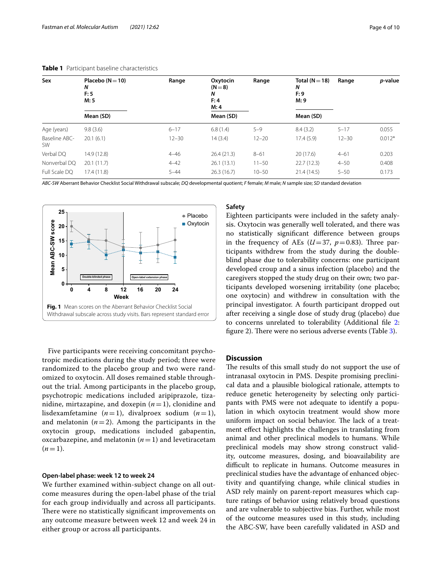| Sex                 | Placebo ( $N = 10$ )<br>N<br>F:5<br>M:5 | Range     | Oxytocin<br>$(N=8)$<br>N<br>F:4<br>M: 4 | Range     | Total ( $N = 18$ )<br>N<br>F: 9<br>M: 9 | Range     | <i>p</i> -value |
|---------------------|-----------------------------------------|-----------|-----------------------------------------|-----------|-----------------------------------------|-----------|-----------------|
|                     | Mean (SD)                               |           | Mean (SD)                               |           | Mean (SD)                               |           |                 |
| Age (years)         | 9.8(3.6)                                | $6 - 17$  | 6.8(1.4)                                | $5 - 9$   | 8.4(3.2)                                | $5 - 17$  | 0.055           |
| Baseline ABC-<br>SW | 20.1(6.1)                               | $12 - 30$ | 14(3.4)                                 | $12 - 20$ | 17.4(5.9)                               | $12 - 30$ | $0.012*$        |
| Verbal DO           | 14.9 (12.8)                             | $4 - 46$  | 26.4(21.3)                              | $8 - 61$  | 20(17.6)                                | $4 - 61$  | 0.203           |
| Nonverbal DO        | 20.1(11.7)                              | $4 - 42$  | 26.1(13.1)                              | $11 - 50$ | 22.7(12.3)                              | $4 - 50$  | 0.408           |
| Full Scale DO       | 17.4 (11.8)                             | $5 - 44$  | 26.3(16.7)                              | $10 - 50$ | 21.4(14.5)                              | $5 - 50$  | 0.173           |

<span id="page-3-1"></span>**Table 1** Participant baseline characteristics

*ABC-SW* Aberrant Behavior Checklist Social Withdrawal subscale; *DQ* developmental quotient; *F* female; *M* male; *N* sample size; *SD* standard deviation



<span id="page-3-2"></span>Five participants were receiving concomitant psychotropic medications during the study period; three were randomized to the placebo group and two were randomized to oxytocin. All doses remained stable throughout the trial. Among participants in the placebo group, psychotropic medications included aripiprazole, tizanidine, mirtazapine, and doxepin  $(n=1)$ , clonidine and lisdexamfetamine  $(n=1)$ , divalproex sodium  $(n=1)$ , and melatonin  $(n=2)$ . Among the participants in the oxytocin group, medications included gabapentin, oxcarbazepine, and melatonin  $(n=1)$  and levetiracetam  $(n=1)$ .

#### <span id="page-3-0"></span>**Open‑label phase: week 12 to week 24**

We further examined within-subject change on all outcome measures during the open-label phase of the trial for each group individually and across all participants. There were no statistically significant improvements on any outcome measure between week 12 and week 24 in either group or across all participants.

#### **Safety**

Eighteen participants were included in the safety analysis. Oxytocin was generally well tolerated, and there was no statistically signifcant diference between groups in the frequency of AEs  $(U=37, p=0.83)$ . Three participants withdrew from the study during the doubleblind phase due to tolerability concerns: one participant developed croup and a sinus infection (placebo) and the caregivers stopped the study drug on their own; two participants developed worsening irritability (one placebo; one oxytocin) and withdrew in consultation with the principal investigator. A fourth participant dropped out after receiving a single dose of study drug (placebo) due to concerns unrelated to tolerability (Additional fle [2](#page-6-0): figure 2). There were no serious adverse events (Table  $3$ ).

## **Discussion**

The results of this small study do not support the use of intranasal oxytocin in PMS. Despite promising preclinical data and a plausible biological rationale, attempts to reduce genetic heterogeneity by selecting only participants with PMS were not adequate to identify a population in which oxytocin treatment would show more uniform impact on social behavior. The lack of a treatment efect highlights the challenges in translating from animal and other preclinical models to humans. While preclinical models may show strong construct validity, outcome measures, dosing, and bioavailability are difficult to replicate in humans. Outcome measures in preclinical studies have the advantage of enhanced objectivity and quantifying change, while clinical studies in ASD rely mainly on parent-report measures which capture ratings of behavior using relatively broad questions and are vulnerable to subjective bias. Further, while most of the outcome measures used in this study, including the ABC-SW, have been carefully validated in ASD and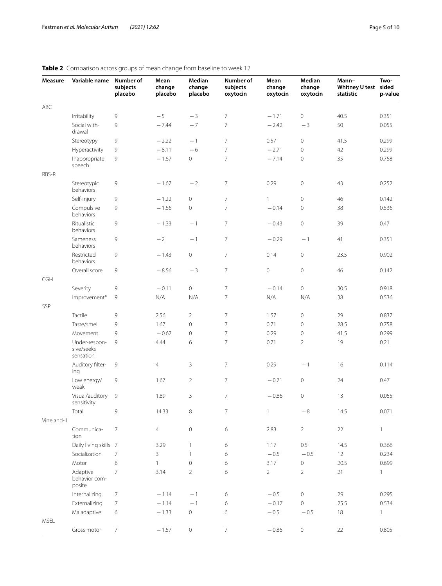| Measure     | Variable name                            | Number of<br>subjects<br>placebo | Mean<br>change<br>placebo | Median<br>change<br>placebo | Number of<br>subjects<br>oxytocin | Mean<br>change<br>oxytocin | Median<br>change<br>oxytocin | Mann-<br><b>Whitney U test</b><br>statistic | Two-<br>sided<br>p-value |
|-------------|------------------------------------------|----------------------------------|---------------------------|-----------------------------|-----------------------------------|----------------------------|------------------------------|---------------------------------------------|--------------------------|
| ABC         |                                          |                                  |                           |                             |                                   |                            |                              |                                             |                          |
|             | Irritability                             | 9                                | $-5$                      | $-3$                        | $\overline{7}$                    | $-1.71$                    | $\mathbf 0$                  | 40.5                                        | 0.351                    |
|             | Social with-<br>drawal                   | 9                                | $-7.44$                   | $-7$                        | $\overline{7}$                    | $-2.42$                    | $-3$                         | 50                                          | 0.055                    |
|             | Stereotypy                               | 9                                | $-2.22$                   | $-1$                        | $\overline{7}$                    | 0.57                       | 0                            | 41.5                                        | 0.299                    |
|             | Hyperactivity                            | 9                                | $-8.11$                   | $-6$                        | $\overline{7}$                    | $-2.71$                    | 0                            | 42                                          | 0.299                    |
|             | Inappropriate<br>speech                  | 9                                | $-1.67$                   | $\circ$                     | $\overline{7}$                    | $-7.14$                    | $\mathsf{O}\xspace$          | 35                                          | 0.758                    |
| RBS-R       |                                          |                                  |                           |                             |                                   |                            |                              |                                             |                          |
|             | Stereotypic<br>behaviors                 | 9                                | $-1.67$                   | $-2$                        | 7                                 | 0.29                       | $\mathsf{O}\xspace$          | 43                                          | 0.252                    |
|             | Self-injury                              | 9                                | $-1.22$                   | $\mathbf 0$                 | $\overline{7}$                    | $\mathbf{1}$               | $\mathsf{O}\xspace$          | 46                                          | 0.142                    |
|             | Compulsive<br>behaviors                  | 9                                | $-1.56$                   | $\mathsf{O}\xspace$         | $\overline{7}$                    | $-0.14$                    | $\mathsf{O}\xspace$          | 38                                          | 0.536                    |
|             | Ritualistic<br>behaviors                 | 9                                | $-1.33$                   | $-1$                        | 7                                 | $-0.43$                    | $\mathsf{O}\xspace$          | 39                                          | 0.47                     |
|             | Sameness<br>behaviors                    | 9                                | $-2$                      | $-1$                        | $\overline{7}$                    | $-0.29$                    | $-1$                         | 41                                          | 0.351                    |
|             | Restricted<br>behaviors                  | 9                                | $-1.43$                   | $\mathsf{O}\xspace$         | $\overline{7}$                    | 0.14                       | $\mathbf 0$                  | 23.5                                        | 0.902                    |
|             | Overall score                            | 9                                | $-8.56$                   | $-3$                        | $\overline{7}$                    | $\mathbf 0$                | $\mathsf{O}\xspace$          | 46                                          | 0.142                    |
| $CGI-I$     |                                          |                                  |                           |                             |                                   |                            |                              |                                             |                          |
|             | Severity                                 | 9                                | $-0.11$                   | $\circ$                     | 7                                 | $-0.14$                    | $\mathbf 0$                  | 30.5                                        | 0.918                    |
|             | Improvement*                             | 9                                | N/A                       | N/A                         | $\overline{7}$                    | N/A                        | N/A                          | 38                                          | 0.536                    |
| SSP         |                                          |                                  |                           |                             |                                   |                            |                              |                                             |                          |
|             | Tactile                                  | 9                                | 2.56                      | $\overline{2}$              | $\overline{7}$                    | 1.57                       | $\mathsf{O}\xspace$          | 29                                          | 0.837                    |
|             | Taste/smell                              | 9                                | 1.67                      | $\overline{0}$              | $\overline{7}$                    | 0.71                       | $\mathsf{O}\xspace$          | 28.5                                        | 0.758                    |
|             | Movement                                 | 9                                | $-0.67$                   | $\overline{0}$              | $\overline{7}$                    | 0.29                       | $\mathsf{O}\xspace$          | 41.5                                        | 0.299                    |
|             | Under-respon-<br>sive/seeks<br>sensation | 9                                | 4.44                      | 6                           | $\overline{7}$                    | 0.71                       | $\overline{2}$               | 19                                          | 0.21                     |
|             | Auditory filter-<br>ing                  | 9                                | 4                         | 3                           | 7                                 | 0.29                       | $-1$                         | 16                                          | 0.114                    |
|             | Low energy/<br>weak                      | 9                                | 1.67                      | $\overline{2}$              | 7                                 | $-0.71$                    | $\mathsf{O}\xspace$          | 24                                          | 0.47                     |
|             | Visual/auditory<br>sensitivity           | 9                                | 1.89                      | 3                           | $\overline{7}$                    | $-0.86$                    | $\mathbf 0$                  | 13                                          | 0.055                    |
|             | Total                                    | 9                                | 14.33                     | $\,8\,$                     | 7                                 | $\mathbf{1}$               | $-\,8$                       | 14.5                                        | 0.071                    |
| Vineland-II |                                          |                                  |                           |                             |                                   |                            |                              |                                             |                          |
|             | Communica-<br>tion                       | $\overline{7}$                   | $\overline{4}$            | $\mathbb O$                 | 6                                 | 2.83                       | $\overline{2}$               | 22                                          | 1                        |
|             | Daily living skills 7                    |                                  | 3.29                      | $\mathbf{1}$                | 6                                 | 1.17                       | $0.5\,$                      | 14.5                                        | 0.366                    |
|             | Socialization                            | $\overline{7}$                   | 3                         | $\mathbf{1}$                | 6                                 | $-0.5$                     | $-0.5$                       | $12 \overline{ }$                           | 0.234                    |
|             | Motor                                    | 6                                | 1                         | $\mathbf 0$                 | 6                                 | 3.17                       | 0                            | 20.5                                        | 0.699                    |
|             | Adaptive<br>behavior com-<br>posite      | $\overline{7}$                   | 3.14                      | $\overline{2}$              | 6                                 | $\overline{2}$             | $\overline{2}$               | 21                                          | 1                        |
|             | Internalizing                            | 7                                | $-1.14$                   | $-1$                        | 6                                 | $-0.5$                     | $\mathbf 0$                  | 29                                          | 0.295                    |
|             | Externalizing                            | $\overline{7}$                   | $-1.14$                   | $-1$                        | 6                                 | $-0.17$                    | $\mathsf{O}\xspace$          | 25.5                                        | 0.534                    |
|             | Maladaptive                              | 6                                | $-1.33$                   | $\circ$                     | 6                                 | $-0.5$                     | $-0.5$                       | 18                                          | $\mathbf{1}$             |
| MSEL        | Gross motor                              | $\overline{7}$                   | $-1.57$                   | $\circ$                     | $\overline{7}$                    | $-0.86$                    | $\mathsf{O}\xspace$          | 22                                          | 0.805                    |

# <span id="page-4-0"></span>**Table 2** Comparison across groups of mean change from baseline to week 12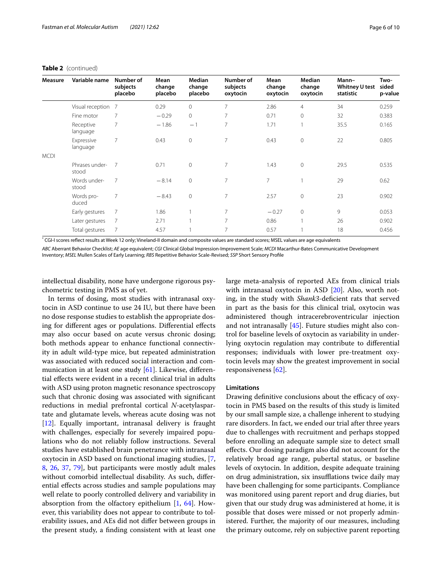#### **Table 2** (continued)

| Measure     | Variable name           | Number of<br>subjects<br>placebo | Mean<br>change<br>placebo | Median<br>change<br>placebo | Number of<br>subjects<br>oxytocin | Mean<br>change<br>oxytocin | Median<br>change<br>oxytocin | Mann-<br>Whitney U test<br>statistic | Two-<br>sided<br>p-value |
|-------------|-------------------------|----------------------------------|---------------------------|-----------------------------|-----------------------------------|----------------------------|------------------------------|--------------------------------------|--------------------------|
|             | Visual reception 7      |                                  | 0.29                      | $\overline{0}$              | 7                                 | 2.86                       | $\overline{4}$               | 34                                   | 0.259                    |
|             | Fine motor              | $\overline{7}$                   | $-0.29$                   | 0                           | 7                                 | 0.71                       | $\mathbf{0}$                 | 32                                   | 0.383                    |
|             | Receptive<br>language   | $\overline{7}$                   | $-1.86$                   | $-1$                        | 7                                 | 1.71                       | $\mathbf{1}$                 | 35.5                                 | 0.165                    |
|             | Expressive<br>language  | 7                                | 0.43                      | $\mathbf 0$                 | 7                                 | 0.43                       | $\mathbf 0$                  | 22                                   | 0.805                    |
| <b>MCDI</b> |                         |                                  |                           |                             |                                   |                            |                              |                                      |                          |
|             | Phrases under-<br>stood | $\overline{7}$                   | 0.71                      | $\overline{0}$              | 7                                 | 1.43                       | $\overline{0}$               | 29.5                                 | 0.535                    |
|             | Words under-<br>stood   | $\overline{7}$                   | $-8.14$                   | $\mathbf 0$                 | 7                                 | 7                          |                              | 29                                   | 0.62                     |
|             | Words pro-<br>duced     | $\overline{7}$                   | $-8.43$                   | $\mathbf 0$                 | 7                                 | 2.57                       | $\mathbf 0$                  | 23                                   | 0.902                    |
|             | Early gestures          | $\overline{7}$                   | 1.86                      |                             | 7                                 | $-0.27$                    | $\circ$                      | 9                                    | 0.053                    |
|             | Later gestures          | 7                                | 2.71                      |                             | 7                                 | 0.86                       | $\overline{1}$               | 26                                   | 0.902                    |
|             | Total gestures          | 7                                | 4.57                      |                             | 7                                 | 0.57                       |                              | 18                                   | 0.456                    |

\* CGI-I scores refect results at Week 12 only; Vineland-II domain and composite values are standard scores; MSEL values are age equivalents

*ABC* Aberrant Behavior Checklist; *AE* age equivalent; *CGI* Clinical Global Impression-Improvement Scale; *MCDI* Macarthur-Bates Communicative Development Inventory; *MSEL* Mullen Scales of Early Learning; *RBS* Repetitive Behavior Scale-Revised; *SSP* Short Sensory Profle

intellectual disability, none have undergone rigorous psychometric testing in PMS as of yet.

In terms of dosing, most studies with intranasal oxytocin in ASD continue to use 24 IU, but there have been no dose response studies to establish the appropriate dosing for diferent ages or populations. Diferential efects may also occur based on acute versus chronic dosing; both methods appear to enhance functional connectivity in adult wild-type mice, but repeated administration was associated with reduced social interaction and communication in at least one study [\[61](#page-8-30)]. Likewise, diferential efects were evident in a recent clinical trial in adults with ASD using proton magnetic resonance spectroscopy such that chronic dosing was associated with signifcant reductions in medial prefrontal cortical *N*-acetylaspartate and glutamate levels, whereas acute dosing was not [[12\]](#page-7-26). Equally important, intranasal delivery is fraught with challenges, especially for severely impaired populations who do not reliably follow instructions. Several studies have established brain penetrance with intranasal oxytocin in ASD based on functional imaging studies, [\[7](#page-7-27), [8,](#page-7-28) [26](#page-7-29), [37](#page-8-39), [79\]](#page-9-9), but participants were mostly adult males without comorbid intellectual disability. As such, diferential efects across studies and sample populations may well relate to poorly controlled delivery and variability in absorption from the olfactory epithelium  $[1, 64]$  $[1, 64]$  $[1, 64]$  $[1, 64]$ . However, this variability does not appear to contribute to tolerability issues, and AEs did not difer between groups in the present study, a fnding consistent with at least one large meta-analysis of reported AEs from clinical trials with intranasal oxytocin in ASD [\[20\]](#page-7-30). Also, worth noting, in the study with *Shank3-deficient* rats that served in part as the basis for this clinical trial, oxytocin was administered though intracerebroventricular injection and not intranasally [[45](#page-8-6)]. Future studies might also control for baseline levels of oxytocin as variability in underlying oxytocin regulation may contribute to diferential responses; individuals with lower pre-treatment oxytocin levels may show the greatest improvement in social responsiveness [\[62](#page-8-26)].

## **Limitations**

Drawing definitive conclusions about the efficacy of oxytocin in PMS based on the results of this study is limited by our small sample size, a challenge inherent to studying rare disorders. In fact, we ended our trial after three years due to challenges with recruitment and perhaps stopped before enrolling an adequate sample size to detect small efects. Our dosing paradigm also did not account for the relatively broad age range, pubertal status, or baseline levels of oxytocin. In addition, despite adequate training on drug administration, six insufflations twice daily may have been challenging for some participants. Compliance was monitored using parent report and drug diaries, but given that our study drug was administered at home, it is possible that doses were missed or not properly administered. Further, the majority of our measures, including the primary outcome, rely on subjective parent reporting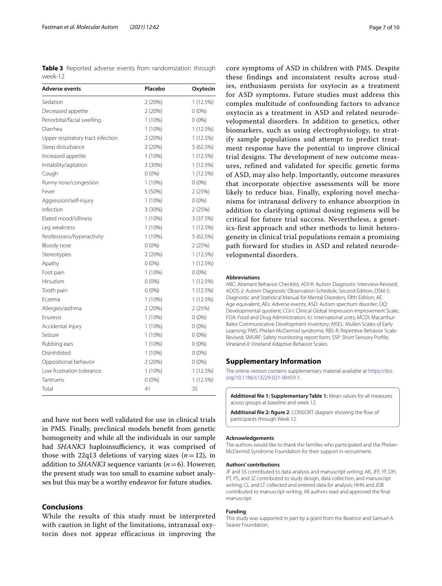<span id="page-6-1"></span>**Table 3** Reported adverse events from randomization through week-12

| Adverse events                    | Placebo   | Oxytocin    |
|-----------------------------------|-----------|-------------|
| Sedation                          | 2(20%)    | 1 (12.5%)   |
| Decreased appetite                | 2(20%)    | $0(0\%)$    |
| Periorbital/facial swelling       | $1(10\%)$ | $0(0\%)$    |
| Diarrhea                          | $1(10\%)$ | 1(12.5%)    |
| Upper respiratory tract infection | 2(20%)    | 1 (12.5%)   |
| Sleep disturbance                 | 2(20%)    | 5(62.5%)    |
| Increased appetite                | $1(10\%)$ | $1(12.5\%)$ |
| Irritability/agitation            | 3 (30%)   | 1(12.5%)    |
| Cough                             | $0(0\%)$  | 1 (12.5%)   |
| Runny nose/congestion             | $1(10\%)$ | $0(0\%)$    |
| Fever                             | 5 (50%)   | 2(25%)      |
| Aggression/self-injury            | $1(10\%)$ | $0(0\%)$    |
| Infection                         | 3 (30%)   | 2(25%)      |
| Elated mood/silliness             | $1(10\%)$ | 3 (37.5%)   |
| Leg weakness                      | $1(10\%)$ | 1(12.5%)    |
| Restlessness/hyperactivity        | $1(10\%)$ | 5 (62.5%)   |
| Bloody nose                       | $0(0\%)$  | 2(25%)      |
| Stereotypies                      | 2(20%)    | 1(12.5%)    |
| Apathy                            | $0(0\%)$  | 1(12.5%)    |
| Foot pain                         | $1(10\%)$ | $0(0\%)$    |
| Hirsutism                         | $0(0\%)$  | 1(12.5%)    |
| Tooth pain                        | $0(0\%)$  | 1(12.5%)    |
| Eczema                            | $1(10\%)$ | 1(12.5%)    |
| Allergies/asthma                  | 2(20%)    | 2(25%)      |
| Enuresis                          | $1(10\%)$ | $0(0\%)$    |
| Accidental injury                 | $1(10\%)$ | $0(0\%)$    |
| Seizure                           | $1(10\%)$ | $0(0\%)$    |
| Rubbing ears                      | $1(10\%)$ | $0(0\%)$    |
| Disinhibited                      | $1(10\%)$ | $0(0\%)$    |
| Oppositional behavior             | 2(20%)    | $0(0\%)$    |
| Low frustration tolerance         | $1(10\%)$ | 1(12.5%)    |
| Tantrums                          | $0(0\%)$  | 1(12.5%)    |
| Total                             | 41        | 35          |

and have not been well validated for use in clinical trials in PMS. Finally, preclinical models beneft from genetic homogeneity and while all the individuals in our sample had *SHANK3* haploinsufficiency, it was comprised of those with 22q13 deletions of varying sizes  $(n=12)$ , in addition to *SHANK3* sequence variants (*n*=6). However, the present study was too small to examine subset analyses but this may be a worthy endeavor for future studies.

# **Conclusions**

While the results of this study must be interpreted with caution in light of the limitations, intranasal oxytocin does not appear efficacious in improving the

core symptoms of ASD in children with PMS. Despite these findings and inconsistent results across studies, enthusiasm persists for oxytocin as a treatment for ASD symptoms. Future studies must address this complex multitude of confounding factors to advance oxytocin as a treatment in ASD and related neurodevelopmental disorders. In addition to genetics, other biomarkers, such as using electrophysiology, to stratify sample populations and attempt to predict treatment response have the potential to improve clinical trial designs. The development of new outcome measures, refined and validated for specific genetic forms of ASD, may also help. Importantly, outcome measures that incorporate objective assessments will be more likely to reduce bias. Finally, exploring novel mechanisms for intranasal delivery to enhance absorption in addition to clarifying optimal dosing regimens will be critical for future trial success. Nevertheless, a genetics-first approach and other methods to limit heterogeneity in clinical trial populations remain a promising path forward for studies in ASD and related neurodevelopmental disorders.

#### **Abbreviations**

ABC: Aberrant Behavior Checklist; ADI-R: Autism Diagnostic Interview-Revised; ADOS-2: Autism Diagnostic Observation Schedule, Second Edition; DSM-5: Diagnostic and Statistical Manual for Mental Disorders, Fifth Edition; AE: Age equivalent; AEs: Adverse events; ASD: Autism spectrum disorder; DQ: Developmental quotient; CGI-I: Clinical Global Impression-Improvement Scale; FDA: Food and Drug Administration; IU: International units; MCDI: Macarthur-Bates Communicative Development Inventory; MSEL: Mullen Scales of Early Learning; PMS: Phelan-McDermid syndrome; RBS-R: Repetitive Behavior Scale-Revised; SMURF: Safety monitoring report form; SSP: Short Sensory Profle; Vineland-II: Vineland Adaptive Behavior Scales.

#### **Supplementary Information**

The online version contains supplementary material available at [https://doi.](https://doi.org/10.1186/s13229-021-00459-1) [org/10.1186/s13229-021-00459-1](https://doi.org/10.1186/s13229-021-00459-1).

<span id="page-6-0"></span>**Additional fle 1: Supplementary Table 1:** Mean values for all measures across groups at baseline and week 12.

Additional file 2: figure 2. CONSORT diagram showing the flow of participants through Week 12

#### **Acknowledgements**

The authors would like to thank the families who participated and the Phelan-McDermid Syndrome Foundation for their support in recruitment.

#### **Authors' contributions**

JF and SS contributed to data analysis and manuscript writing; AK, JFF, YF, DH, PT, PS, and JZ contributed to study design, data collection, and manuscript writing; CL and LT collected and entered data for analysis; HHN and JDB contributed to manuscript writing. All authors read and approved the fnal manuscript.

#### **Funding**

This study was supported in part by a grant from the Beatrice and Samuel A. Seaver Foundation.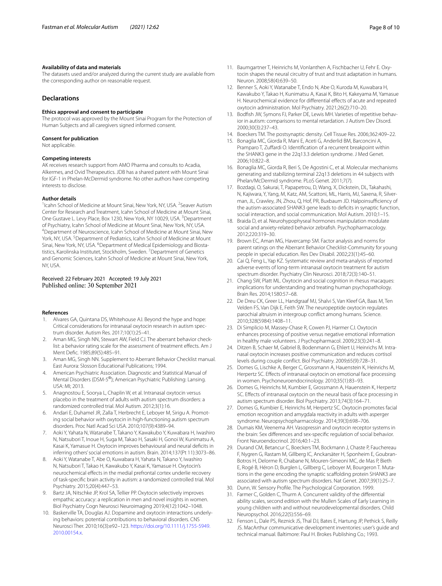#### **Availability of data and materials**

The datasets used and/or analyzed during the current study are available from the corresponding author on reasonable request.

## **Declarations**

#### **Ethics approval and consent to participate**

The protocol was approved by the Mount Sinai Program for the Protection of Human Subjects and all caregivers signed informed consent.

#### **Consent for publication**

Not applicable.

#### **Competing interests**

AK receives research support from AMO Pharma and consults to Acadia, Alkermes, and Ovid Therapeutics. JDB has a shared patent with Mount Sinai for IGF-1 in Phelan-McDermid syndrome. No other authors have competing interests to disclose.

#### **Author details**

<sup>1</sup> Icahn School of Medicine at Mount Sinai, New York, NY, USA. <sup>2</sup> Seaver Autism Center for Research and Treatment, Icahn School of Medicine at Mount Sinai, One Gustave L. Levy Place, Box 1230, New York, NY 10029, USA. <sup>3</sup>Department of Psychiatry, Icahn School of Medicine at Mount Sinai, New York, NY, USA. 4 Department of Neuroscience, Icahn School of Medicine at Mount Sinai, New York, NY, USA.<sup>5</sup> Department of Pediatrics, Icahn School of Medicine at Mount Sinai, New York, NY, USA. <sup>6</sup>Department of Medical Epidemiology and Biostatistics, Karolinska Institutet, Stockholm, Sweden. <sup>7</sup> Department of Genetics and Genomic Sciences, Icahn School of Medicine at Mount Sinai, New York, NY, USA.

#### Received: 22 February 2021 Accepted: 19 July 2021 Published online: 30 September 2021

#### **References**

- <span id="page-7-17"></span>1. Alvares GA, Quintana DS, Whitehouse AJ. Beyond the hype and hope: Critical considerations for intranasal oxytocin research in autism spectrum disorder. Autism Res. 2017;10(1):25–41.
- <span id="page-7-19"></span>Aman MG, Singh NN, Stewart AW, Field CJ. The aberrant behavior checklist: a behavior rating scale for the assessment of treatment effects. Am J Ment Defc. 1985;89(5):485–91.
- <span id="page-7-25"></span>3. Aman MG, Singh NN. Supplement to Aberrant Behavior Checklist manual. East Aurora: Slosson Educational Publications; 1994.
- <span id="page-7-18"></span>4. American Psychiatric Association. Diagnostic and Statistical Manual of Mental Disorders (DSM-5®); American Psychiatric Publishing: Lansing. USA: MI; 2013.
- <span id="page-7-13"></span>5. Anagnostou E, Soorya L, Chaplin W, et al. Intranasal oxytocin versus placebo in the treatment of adults with autism spectrum disorders: a randomized controlled trial. Mol Autism. 2012;3(1):16.
- <span id="page-7-14"></span>6. Andari E, Duhamel JR, Zalla T, Herbrecht E, Leboyer M, Sirigu A. Promoting social behavior with oxytocin in high-functioning autism spectrum disorders. Proc Natl Acad Sci USA. 2010;107(9):4389–94.
- <span id="page-7-27"></span>7. Aoki Y, Yahata N, Watanabe T, Takano Y, Kawakubo Y, Kuwabara H, Iwashiro N, Natsubori T, Inoue H, Suga M, Takao H, Sasaki H, Gonoi W, Kunimatsu A, Kasai K, Yamasue H. Oxytocin improves behavioural and neural defcits in inferring others' social emotions in autism. Brain. 2014;137(Pt 11):3073–86.
- <span id="page-7-28"></span>8. Aoki Y, Watanabe T, Abe O, Kuwabara H, Yahata N, Takano Y, Iwashiro N, Natsubori T, Takao H, Kawakubo Y, Kasai K, Yamasue H. Oxytocin's neurochemical efects in the medial prefrontal cortex underlie recovery of task-specifc brain activity in autism: a randomized controlled trial. Mol Psychiatry. 2015;20(4):447–53.
- <span id="page-7-8"></span>9. Bartz JA, Nitschke JP, Krol SA, Tellier PP. Oxytocin selectively improves empathic accuracy: a replication in men and novel insights in women. Biol Psychiatry Cogn Neurosci Neuroimaging 2019;4(12):1042–1048.
- <span id="page-7-5"></span>10. Baskerville TA, Douglas AJ. Dopamine and oxytocin interactions underlying behaviors: potential contributions to behavioral disorders. CNS Neurosci Ther. 2010;16(3):e92–123. [https://doi.org/10.1111/j.1755-5949.](https://doi.org/10.1111/j.1755-5949.2010.00154.x) [2010.00154.x](https://doi.org/10.1111/j.1755-5949.2010.00154.x).
- <span id="page-7-9"></span>11. Baumgartner T, Heinrichs M, Vonlanthen A, Fischbacher U, Fehr E. Oxytocin shapes the neural circuitry of trust and trust adaptation in humans. Neuron. 2008;58(4):639–50.
- <span id="page-7-26"></span>12. Benner S, Aoki Y, Watanabe T, Endo N, Abe O, Kuroda M, Kuwabara H, Kawakubo Y, Takao H, Kunimatsu A, Kasai K, Bito H, Kakeyama M, Yamasue H. Neurochemical evidence for differential effects of acute and repeated oxytocin administration. Mol Psychiatry. 2021;26(2):710–20.
- <span id="page-7-20"></span>13. Bodfish JW, Symons FJ, Parker DE, Lewis MH. Varieties of repetitive behavior in autism: comparisons to mental retardation. J Autism Dev Disord. 2000;30(3):237–43.
- <span id="page-7-3"></span>14. Boeckers TM. The postsynaptic density. Cell Tissue Res. 2006;362:409–22.
- <span id="page-7-0"></span>15. Bonaglia MC, Giorda R, Mani E, Aceti G, Anderlid BM, Barconcini A, Pramparo T, Zuffardi O. Identification of a recurrent breakpoint within the SHANK3 gene in the 22q13.3 deletion syndrome. J Med Genet. 2006;10:822–8.
- <span id="page-7-1"></span>16. Bonaglia MC, Giorda R, Beri S, De Agostini C, et al. Molecular mechanisms generating and stabilizing terminal 22q13 deletions in 44 subjects with Phelan/McDermid syndrome. PLoS Genet. 2011;7(7).
- <span id="page-7-4"></span>17. Bozdagi, O, Sakurai, T, Papapetrou, D, Wang, X, Dickstein, DL, Takahashi, N, Kajiwara, Y, Yang, M, Katz, AM, Scattoni, ML, Harris, MJ, Saxena, R, Silverman, JL, Crawley, JN, Zhou, Q, Hof, PR, Buxbaum JD. Halpoinsufficiency of the autism-associated SHANK3 gene leads to defcits in synaptic function, social interaction, and social communication. Mol Autism. 2010;1–15.
- <span id="page-7-6"></span>18. Braida D, et al. Neurohypophyseal hormones manipulation modulate social and anxiety-related behavior zebrafsh. Psychopharmacology. 2012;220:319–30.
- <span id="page-7-24"></span>19. Brown EC, Aman MG, Havercamp SM. Factor analysis and norms for parent ratings on the Aberrant Behavior Checklist-Community for young people in special education. Res Dev Disabil. 2002;23(1):45–60.
- <span id="page-7-30"></span>20. Cai Q, Feng L, Yap KZ. Systematic review and meta-analysis of reported adverse events of long-term intranasal oxytocin treatment for autism spectrum disorder. Psychiatry Clin Neurosci. 2018;72(3):140–51.
- <span id="page-7-7"></span>21. Chang SW, Platt ML. Oxytocin and social cognition in rhesus macaques: implications for understanding and treating human psychopathology. Brain Res. 2014;1580:57–68.
- <span id="page-7-10"></span>22. De Dreu CK, Greer LL, Handgraaf MJ, Shalvi S, Van Kleef GA, Baas M, Ten Velden FS, Van Dijk E, Feith SW. The neuropeptide oxytocin regulates parochial altruism in intergroup confict among humans. Science. 2010;328(5984):1408–11.
- 23. Di Simplicio M, Massey-Chase R, Cowen PJ, Harmer CJ. Oxytocin enhances processing of positive versus negative emotional information in healthy male volunteers. J Psychopharmacol. 2009;23(3):241–8.
- <span id="page-7-15"></span>24. Ditzen B, Schaer M, Gabriel B, Bodenmann G, Ehlert U, Heinrichs M. Intranasal oxytocin increases positive communication and reduces cortisol levels during couple confict. Biol Psychiatry. 2009;65(9):728–31.
- <span id="page-7-11"></span>25. Domes G, Lischke A, Berger C, Grossmann A, Hauenstein K, Heinrichs M, Herpertz SC. Efects of intranasal oxytocin on emotional face processing in women. Psychoneuroendocrinology. 2010;35(1):83–93.
- <span id="page-7-29"></span>26. Domes G, Heinrichs M, Kumbier E, Grossmann A, Hauenstein K, Herpertz SC. Efects of intranasal oxytocin on the neural basis of face processing in autism spectrum disorder. Biol Psychiatry. 2013;74(3):164–71.
- <span id="page-7-16"></span>27. Domes G, Kumbier E, Heinrichs M, Herpertz SC. Oxytocin promotes facial emotion recognition and amygdala reactivity in adults with asperger syndrome. Neuropsychopharmacology. 2014;39(3):698–706.
- <span id="page-7-12"></span>28. Dumais KM, Veenema AH. Vasopressin and oxytocin receptor systems in the brain: Sex diferences and sex-specifc regulation of social behavior. Front Neuroendocrinol. 2016;40:1–23.
- <span id="page-7-2"></span>29. Durand CM, Betancur C, Boeckers TM, Bockmann J, Chaste P, Fauchereau F, Nygren G, Rastam M, Gillberg IC, Anckarsäter H, Sponheim E, Goubran-Botros H, Delorme R, Chabane N, Mouren-Simeoni MC, de Mas P, Bieth E, Rogé B, Héron D, Burglen L, Gillberg C, Leboyer M, Bourgeron T. Mutations in the gene encoding the synaptic scaffolding protein SHANK3 are associated with autism spectrum disorders. Nat Genet. 2007;39(1):25–7.
- <span id="page-7-21"></span>30. Dunn, W. Sensory Profle. The Psychological Corporation. 1999.
- <span id="page-7-23"></span>31. Farmer C, Golden C, Thurm A. Concurrent validity of the diferential ability scales, second edition with the Mullen Scales of Early Learning in young children with and without neurodevelopmental disorders. Child Neuropsychol. 2016;22(5):556–69.
- <span id="page-7-22"></span>32. Fenson L, Dale PS, Reznick JS, Thal DJ, Bates E, Hartung JP, Pethick S, Reilly JS. MacArthur communicative development inventories: user's guide and technical manual. Baltimore: Paul H. Brokes Publishing Co.; 1993.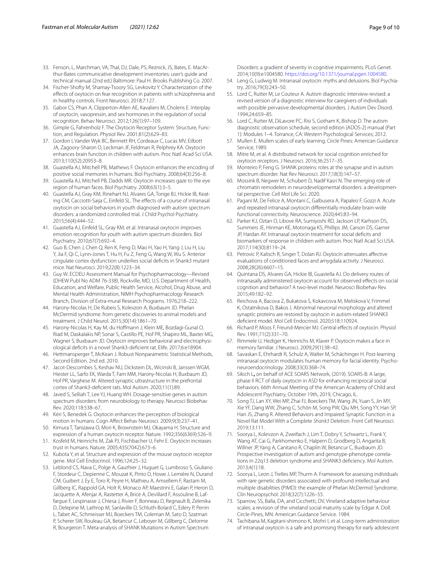- <span id="page-8-33"></span>33. Fenson, L, Marchman, VA, Thal, DJ, Dale, PS, Reznick, JS, Bates, E. MacArthur-Bates communicative development inventories: user's guide and technical manual (2nd ed.) Baltimore: Paul H. Brooks Publishing Co. 2007.
- <span id="page-8-13"></span>34. Fischer-Shofty M, Shamay-Tsoory SG, Levkovitz Y. Characterization of the efects of oxytocin on fear recognition in patients with schizophrenia and in healthy controls. Front Neurosci. 2018;7:127.
- <span id="page-8-14"></span>35. Gabor CS, Phan A, Clipperton-Allen AE, Kavaliers M, Choleris E. Interplay of oxytocin, vasopressin, and sex hormones in the regulation of social recognition. Behav Neurosci. 2012;126(1):97–109.
- <span id="page-8-11"></span>36. Gimple G, Fahrenholz F. The Oxytocin Receptor System: Structure, Function, and Regulation. Physiol Rev. 2001;81(2):629–83.
- <span id="page-8-39"></span>37. Gordon I, Vander Wyk BC, Bennett RH, Cordeaux C, Lucas MV, Eilbott JA, Zagoory-Sharon O, Leckman JF, Feldman R, Pelphrey KA. Oxytocin enhances brain function in children with autism. Proc Natl Acad Sci USA. 2013;110(52):20953–8.
- <span id="page-8-15"></span>38. Guastella AJ, Mitchell PB, Mathews F. Oxytocin enhances the encoding of positive social memories in humans. Biol Psychiatry. 2008;64(3):256–8.
- <span id="page-8-16"></span>39. Guastella AJ, Mitchell PB, Dadds MR. Oxytocin increases gaze to the eye region of human faces. Biol Psychiatry. 2008;63(1):3–5.
- <span id="page-8-24"></span>40. Guastella AJ, Gray KM, Rinehart NJ, Alvares GA, Tonge BJ, Hickie IB, Keating CM, Cacciotti-Saija C, Einfeld SL. The effects of a course of intranasal oxytocin on social behaviors in youth diagnosed with autism spectrum disorders: a randomized controlled trial. J Child Psychol Psychiatry. 2015;56(4):444–52.
- <span id="page-8-25"></span>41. Guastella AJ, Einfeld SL, Gray KM, et al. Intranasal oxytocin improves emotion recognition for youth with autism spectrum disorders. Biol Psychiatry. 2010;67(7):692–4.
- <span id="page-8-5"></span>42. Guo B, Chen J, Chen Q, Ren K, Feng D, Mao H, Yao H, Yang J, Liu H, Liu Y, Jia F, Qi C, Lynn-Jones T, Hu H, Fu Z, Feng G, Wang W, Wu S. Anterior cingulate cortex dysfunction underlies social defcits in Shank3 mutant mice. Nat Neurosci. 2019;22(8):1223–34.
- <span id="page-8-35"></span>43. Guy W. ECDEU Assessment Manual for Psychopharmacology—Revised (DHEW Publ No ADM 76-338). Rockville, MD, U.S. Department of Health, Education, and Welfare, Public Health Service, Alcohol, Drug Abuse, and Mental Health Administration, NIMH Psychopharmacology Research Branch, Division of Extra-mural Research Programs. 1976;218–222.
- <span id="page-8-0"></span>44. Harony-Nicolas H, De Rubeis S, Kolevzon A, Buxbaum JD. Phelan McDermid syndrome: from genetic discoveries to animal models and treatment. J Child Neurol. 2015;30(14):1861–70.
- <span id="page-8-6"></span>45. Harony-Nicolas H, Kay M, du Hofmann J, Klein ME, Bozdagi-Gunal O, Riad M, Daskalakis NP, Sonar S, Castillo PE, Hof PR, Shapiro ML, Baxter MG, Wagner S, Buxbaum JD. Oxytocin improves behavioral and electrophysiological defcits in a novel Shank3-defcient rat. Elife. 2017;6:e18904.
- <span id="page-8-38"></span>46. Hettmansperger T, McKean J. Robust Nonparametric Statistical Methods, Second Edition. 2nd ed. 2010.
- <span id="page-8-7"></span>47. Jacot-Descombes S, Keshav NU, Dickstein DL, Wicinski B, Janssen WGM, Hiester LL, Sarfo EK, Warda T, Fam MM, Harony-Nicolas H, Buxbaum JD, Hof PR, Varghese M. Altered synaptic ultrastructure in the prefrontal cortex of Shank3-defcient rats. Mol Autism. 2020;11(1):89.
- <span id="page-8-1"></span>48. Javed S, Selliah T, Lee YJ, Huang WH. Dosage-sensitive genes in autism spectrum disorders: from neurobiology to therapy. Neurosci Biobehav Rev. 2020;118:538–67.
- <span id="page-8-17"></span>49. Kéri S, Benedek G. Oxytocin enhances the perception of biological motion in humans. Cogn Afect Behav Neurosci. 2009;9(3):237–41.
- 50. Kimura T, Tanizawa O, Mori K, Brownstein MJ, Okayama H. Structure and expression of a human oxytocin receptor. Nature. 1992;356(6369):526–9.
- <span id="page-8-18"></span>51. Kosfeld M, Heinrichs M, Zak PJ, Fischbacher U, Fehr E. Oxytocin increases trust in humans. Nature. 2005;435(7042):673–6.
- <span id="page-8-12"></span>52. Kubota Y, et al. Structure and expression of the mouse oxytocin receptor gene. Mol Cell Endocrinol. 1996;124:25–32.
- <span id="page-8-4"></span>53. Leblond CS, Nava C, Polge A, Gauthier J, Huguet G, Lumbroso S, Giuliano F, Stordeur C, Depienne C, Mouzat K, Pinto D, Howe J, Lemière N, Durand CM, Guibert J, Ey E, Toro R, Peyre H, Mathieu A, Amsellem F, Rastam M, Gillberg IC, Rappold GA, Holt R, Monaco AP, Maestrini E, Galan P, Heron D, Jacquette A, Afenjar A, Rastetter A, Brice A, Devillard F, Assouline B, Laffargue F, Lespinasse J, Chiesa J, Rivier F, Bonneau D, Regnault B, Zelenika D, Delepine M, Lathrop M, Sanlaville D, Schluth-Bolard C, Edery P, Perrin L, Tabet AC, Schmeisser MJ, Boeckers TM, Coleman M, Sato D, Szatmari P, Scherer SW, Rouleau GA, Betancur C, Leboyer M, Gillberg C, Delorme R, Bourgeron T. Meta-analysis of SHANK Mutations in Autism Spectrum

Disorders: a gradient of severity in cognitive impairments. PLoS Genet. 2014;10(9):e1004580. [https://doi.org/10.1371/journal.pgen.1004580.](https://doi.org/10.1371/journal.pgen.1004580)

- <span id="page-8-29"></span>54. Leng G, Ludwig M. Intranasal oxytocin: myths and delusions. Biol Psychiatry. 2016;79(3):243–50.
- <span id="page-8-32"></span>55. Lord C, Rutter M, Le Couteur A. Autism diagnostic interview-revised: a revised version of a diagnostic interview for caregivers of individuals with possible pervasive developmental disorders. J Autism Dev Disord. 1994;24:659–85.
- <span id="page-8-31"></span>56. Lord C, Rutter M, DiLavore PC, Risi S, Gotham K, Bishop D. The autism diagnostic observation schedule, second edition (ADOS-2) manual (Part 1): Modules 1–4. Torrance, CA: Western Psychological Services; 2012.
- <span id="page-8-36"></span>57. Mullen E. Mullen scales of early learning. Circle Pines: American Guidance Service; 1989.
- <span id="page-8-19"></span>58. Mitre M, et al. A distributed network for social cognition enriched for oxytocin receptors. J Neurosci. 2016;36:2517–35.
- <span id="page-8-8"></span>59. Monteiro P, Feng G. SHANK proteins: roles at the synapse and in autism spectrum disorder. Nat Rev Neurosci. 2017;18(3):147–57.
- <span id="page-8-2"></span>60. Mossink B, Negwer M, Schubert D, Nadif Kasri N. The emerging role of chromatin remodelers in neurodevelopmental disorders: a developmental perspective. Cell Mol Life Sci. 2020.
- <span id="page-8-30"></span>61. Pagani M, De Felice A, Montani C, Galbusera A, Papaleo F, Gozzi A. Acute and repeated intranasal oxytocin diferentially modulate brain-wide functional connectivity. Neuroscience. 2020;445:83–94.
- <span id="page-8-26"></span>62. Parker KJ, Oztan O, Libove RA, Sumiyoshi RD, Jackson LP, Karhson DS, Summers JE, Hinman KE, Motonaga KS, Phillips JM, Carson DS, Garner JP, Hardan AY. Intranasal oxytocin treatment for social deficits and biomarkers of response in children with autism. Proc Natl Acad Sci USA. 2017;114(30):8119–24.
- <span id="page-8-20"></span>63. Petrovic P, Kalisch R, Singer T, Dolan RJ. Oxytocin attenuates afective evaluations of conditioned faces and amygdala activity. J Neurosci. 2008;28(26):6607–15.
- <span id="page-8-40"></span>64. Quintana DS, Alvares GA, Hickie IB, Guastella AJ. Do delivery routes of intranasally administered oxytocin account for observed efects on social cognition and behavior? A two-level model. Neurosci Biobehav Rev. 2015;49:182–92.
- <span id="page-8-10"></span>65. Reichova A, Bacova Z, Bukatova S, Kokavcova M, Meliskova V, Frimmel K, Ostatnikova D, Bakos J. Abnormal neuronal morphology and altered synaptic proteins are restored by oxytocin in autism-related SHANK3 defcient model. Mol Cell Endocrinol. 2020;518:110924.
- <span id="page-8-21"></span>66. Richard P, Moos F, Freund-Mercier MJ. Central efects of oxytocin. Physiol Rev. 1991;71(2):331–70.
- <span id="page-8-22"></span>67. Rimmele U, Hediger K, Heinrichs M, Klaver P. Oxytocin makes a face in memory familiar. J Neurosci. 2009;29(1):38–42.
- <span id="page-8-23"></span>68. Savaskan E, Ehrhardt R, Schulz A, Walter M, Schächinger H. Post-learning intranasal oxytocin modulates human memory for facial identity. Psychoneuroendocrinology. 2008;33(3):368–74.
- <span id="page-8-28"></span>69. Sikich L**,** on behalf of ACE SOARS Network, (2019). SOARS-B: A large, phase II RCT of daily oxytocin in ASD for enhancing reciprocal social behaviors. 66th Annual Meeting of the American Academy of Child and Adolescent Psychiatry, October 19th, 2019, Chicago, IL.
- <span id="page-8-9"></span>70. Song TJ, Lan XY, Wei MP, Zhai FJ, Boeckers TM, Wang JN, Yuan S, Jin MY, Xie YF, Dang WW, Zhang C, Schön M, Song PW, Qiu MH, Song YY, Han SP, Han JS, Zhang R. Altered Behaviors and Impaired Synaptic Function in a Novel Rat Model With a Complete *Shank3* Deletion. Front Cell Neurosci. 2019;13:111.
- <span id="page-8-3"></span>71. Soorya L, Kolevzon A, Zweifach J, Lim T, Dobry Y, Schwartz L, Frank Y, Wang AT, Cai G, Parkhomenko E, Halpern D, Grodberg D, Angarita B, Willner JP, Yang A, Canitano R, Chaplin W, Betancur C, Buxbaum JD. Prospective investigation of autism and genotype-phenotype correlations in 22q13 deletion syndrome and SHANK3 defciency. Mol Autism. 2013;4(1):18.
- <span id="page-8-37"></span>72. Soorya L, Leon J, Trelles MP, Thurm A. Framework for assessing individuals with rare genetic disorders associated with profound intellectual and multiple disabilities (PIMD): the example of Phelan McDermid Syndrome. Clin Neuropsychol. 2018;32(7):1226–55.
- <span id="page-8-34"></span>73. Sparrow, SS, Balla, DA, and Cicchetti, DV, Vineland adaptive behaviour scales: a revision of the vineland social maturity scale by Edgar A. Doll. Circle-Pines, MN: American Guidance Service. 1984.
- <span id="page-8-27"></span>74. Tachibana M, Kagitani-shimono K, Mohri I, et al. Long-term administration of intranasal oxytocin is a safe and promising therapy for early adolescent